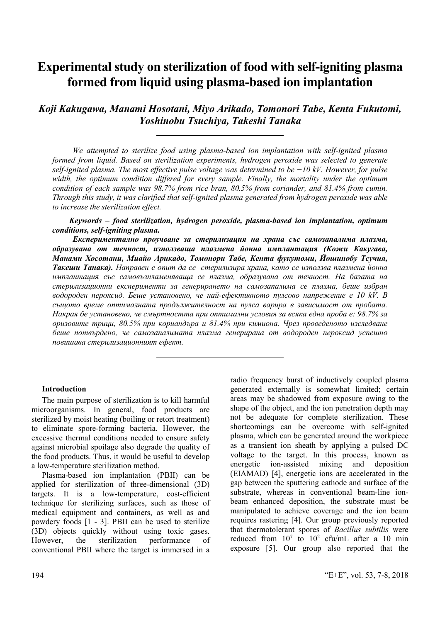# **Experimental study on sterilization of food with self-igniting plasma formed from liquid using plasma-based ion implantation**

*Koji Kakugawa, Manami Hosotani, Miyo Arikado, Tomonori Tabe, Kenta Fukutomi, Yoshinobu Tsuchiya, Takeshi Tanaka*

*We attempted to sterilize food using plasma-based ion implantation with self-ignited plasma formed from liquid. Based on sterilization experiments, hydrogen peroxide was selected to generate self-ignited plasma. The most effective pulse voltage was determined to be −10 kV. However, for pulse width, the optimum condition differed for every sample. Finally, the mortality under the optimum condition of each sample was 98.7% from rice bran, 80.5% from coriander, and 81.4% from cumin. Through this study, it was clarified that self-ignited plasma generated from hydrogen peroxide was able to increase the sterilization effect.*

*Keywords – food sterilization, hydrogen peroxide, plasma-based ion implantation, optimum conditions, self-igniting plasma.*

*Експериментално проучване за стерилизация на храна със самозапалима плазма, образувана от течност, използваща плазмена йонна имплантация (Кожи Какугава, Манами Хосотани, Миайо Арикадо, Томонори Табе, Кента фукутоми, Йошинобу Тсучия, Такеши Танака). Направен е опит да се стерилизира храна, като се използва плазмена йонна имплантация със самовъзпламеняваща се плазма, образувана от течност. На базата на стерилизационни експерименти за генерирането на самозапалима се плазма, беше избран водороден пероксид. Беше установено, че най-ефективното пулсово напрежение е 10 kV. В същото време оптималната продължителност на пулса варира в зависимост от пробата. Накрая бе установено, че смъртността при оптимални условия за всяка една проба е: 98.7% за оризовите трици, 80.5% при кориандъра и 81.4% при кимиона. Чрез проведеното изследване беше потвърдено, че самозапалимата плазма генерирана от водороден пероксид успешно повишава стерилизационният ефект.*

# **Introduction**

The main purpose of sterilization is to kill harmful microorganisms. In general, food products are sterilized by moist heating (boiling or retort treatment) to eliminate spore-forming bacteria. However, the excessive thermal conditions needed to ensure safety against microbial spoilage also degrade the quality of the food products. Thus, it would be useful to develop a low-temperature sterilization method.

Plasma-based ion implantation (PBII) can be applied for sterilization of three-dimensional (3D) targets. It is a low-temperature, cost-efficient technique for sterilizing surfaces, such as those of medical equipment and containers, as well as and powdery foods [1 - 3]. PBII can be used to sterilize (3D) objects quickly without using toxic gases. However, the sterilization performance of conventional PBII where the target is immersed in a

radio frequency burst of inductively coupled plasma generated externally is somewhat limited; certain areas may be shadowed from exposure owing to the shape of the object, and the ion penetration depth may not be adequate for complete sterilization. These shortcomings can be overcome with self-ignited plasma, which can be generated around the workpiece as a transient ion sheath by applying a pulsed DC voltage to the target. In this process, known as energetic ion-assisted mixing and deposition (EIAMAD) [4], energetic ions are accelerated in the gap between the sputtering cathode and surface of the substrate, whereas in conventional beam-line ionbeam enhanced deposition, the substrate must be manipulated to achieve coverage and the ion beam requires rastering [4]. Our group previously reported that thermotolerant spores of *Bacillus subtilis* were reduced from  $10^7$  to  $10^2$  cfu/mL after a 10 min exposure [5]. Our group also reported that the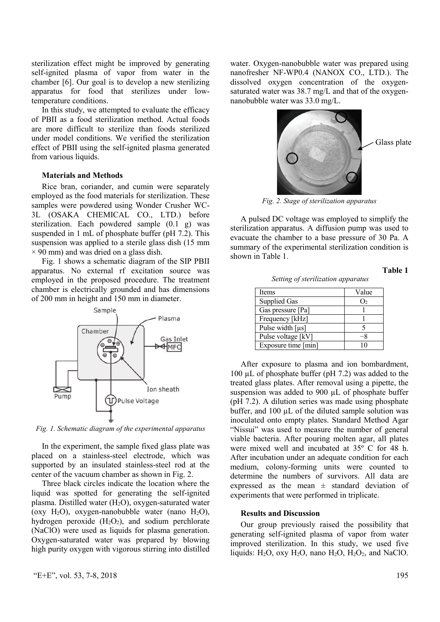sterilization effect might be improved by generating self-ignited plasma of vapor from water in the chamber [6]. Our goal is to develop a new sterilizing apparatus for food that sterilizes under lowtemperature conditions.

In this study, we attempted to evaluate the efficacy of PBII as a food sterilization method. Actual foods are more difficult to sterilize than foods sterilized under model conditions. We verified the sterilization effect of PBII using the self-ignited plasma generated from various liquids.

#### **Materials and Methods**

Rice bran, coriander, and cumin were separately employed as the food materials for sterilization. These samples were powdered using Wonder Crusher WC-3L (OSAKA CHEMICAL CO., LTD.) before sterilization. Each powdered sample (0.1 g) was suspended in 1 mL of phosphate buffer (pH 7.2). This suspension was applied to a sterile glass dish (15 mm  $\times$  90 mm) and was dried on a glass dish.

Fig. 1 shows a schematic diagram of the SIP PBII apparatus. No external rf excitation source was employed in the proposed procedure. The treatment chamber is electrically grounded and has dimensions of 200 mm in height and 150 mm in diameter.



*Fig. 1. Schematic diagram of the experimental apparatus*

In the experiment, the sample fixed glass plate was placed on a stainless-steel electrode, which was supported by an insulated stainless-steel rod at the center of the vacuum chamber as shown in Fig. 2.

Three black circles indicate the location where the liquid was spotted for generating the self-ignited plasma. Distilled water (H2O), oxygen-saturated water (oxy  $H_2O$ ), oxygen-nanobubble water (nano  $H_2O$ ), hydrogen peroxide  $(H_2O_2)$ , and sodium perchlorate (NaClO) were used as liquids for plasma generation. Oxygen-saturated water was prepared by blowing high purity oxygen with vigorous stirring into distilled water. Oxygen-nanobubble water was prepared using nanofresher NF-WP0.4 (NANOX CO., LTD.). The dissolved oxygen concentration of the oxygensaturated water was 38.7 mg/L and that of the oxygennanobubble water was 33.0 mg/L.



*Fig. 2. Stage of sterilization apparatus*

A pulsed DC voltage was employed to simplify the sterilization apparatus. A diffusion pump was used to evacuate the chamber to a base pressure of 30 Pa. A summary of the experimental sterilization condition is shown in Table 1.

| Items                             | Value |
|-----------------------------------|-------|
| <b>Supplied Gas</b>               | O,    |
| Gas pressure [Pa]                 |       |
| Frequency [kHz]                   |       |
| Pulse width $\lceil \mu s \rceil$ |       |
| Pulse voltage [kV]                |       |
| Exposure time [min]               |       |

*Setting of sterilization apparatus*

After exposure to plasma and ion bombardment, 100 µL of phosphate buffer (pH 7.2) was added to the treated glass plates. After removal using a pipette, the suspension was added to 900 µL of phosphate buffer (pH 7.2). A dilution series was made using phosphate buffer, and  $100 \mu L$  of the diluted sample solution was inoculated onto empty plates. Standard Method Agar "Nissui" was used to measure the number of general viable bacteria. After pouring molten agar, all plates were mixed well and incubated at 35º C for 48 h. After incubation under an adequate condition for each medium, colony-forming units were counted to determine the numbers of survivors. All data are expressed as the mean  $\pm$  standard deviation of experiments that were performed in triplicate.

# **Results and Discussion**

Our group previously raised the possibility that generating self-ignited plasma of vapor from water improved sterilization. In this study, we used five liquids:  $H_2O$ , oxy  $H_2O$ , nano  $H_2O$ ,  $H_2O_2$ , and NaClO.

**Table 1**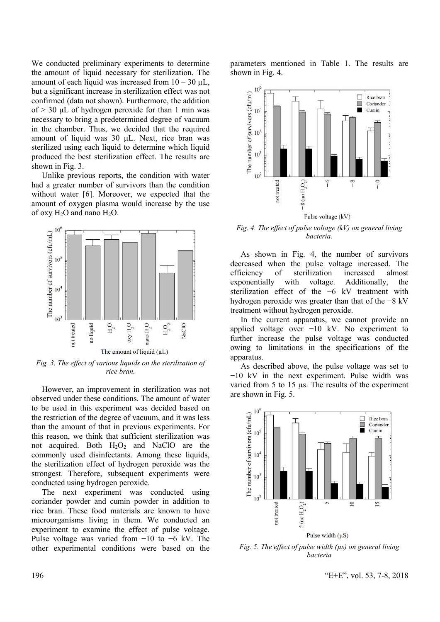We conducted preliminary experiments to determine the amount of liquid necessary for sterilization. The amount of each liquid was increased from  $10 - 30$   $\mu$ L, but a significant increase in sterilization effect was not confirmed (data not shown). Furthermore, the addition of  $> 30$  uL of hydrogen peroxide for than 1 min was necessary to bring a predetermined degree of vacuum in the chamber. Thus, we decided that the required amount of liquid was 30 μL. Next, rice bran was sterilized using each liquid to determine which liquid produced the best sterilization effect. The results are shown in Fig. 3.

Unlike previous reports, the condition with water had a greater number of survivors than the condition without water [6]. Moreover, we expected that the amount of oxygen plasma would increase by the use of oxy  $H_2O$  and nano  $H_2O$ .



*Fig. 3. The effect of various liquids on the sterilization of rice bran.*

However, an improvement in sterilization was not observed under these conditions. The amount of water to be used in this experiment was decided based on the restriction of the degree of vacuum, and it was less than the amount of that in previous experiments. For this reason, we think that sufficient sterilization was not acquired. Both  $H_2O_2$  and NaClO are the commonly used disinfectants. Among these liquids, the sterilization effect of hydrogen peroxide was the strongest. Therefore, subsequent experiments were conducted using hydrogen peroxide.

The next experiment was conducted using coriander powder and cumin powder in addition to rice bran. These food materials are known to have microorganisms living in them. We conducted an experiment to examine the effect of pulse voltage. Pulse voltage was varied from −10 to −6 kV. The other experimental conditions were based on the parameters mentioned in Table 1. The results are shown in Fig. 4.



*Fig. 4. The effect of pulse voltage (kV) on general living bacteria.*

As shown in Fig. 4, the number of survivors decreased when the pulse voltage increased. The efficiency of sterilization increased almost of sterilization increased almost exponentially with voltage. Additionally, the sterilization effect of the −6 kV treatment with hydrogen peroxide was greater than that of the −8 kV treatment without hydrogen peroxide.

In the current apparatus, we cannot provide an applied voltage over −10 kV. No experiment to further increase the pulse voltage was conducted owing to limitations in the specifications of the apparatus.

As described above, the pulse voltage was set to −10 kV in the next experiment. Pulse width was varied from 5 to 15 µs. The results of the experiment are shown in Fig. 5.



*Fig. 5. The effect of pulse width (µs) on general living bacteria*

196 "Е+Е", vol. 53, 7-8, 2018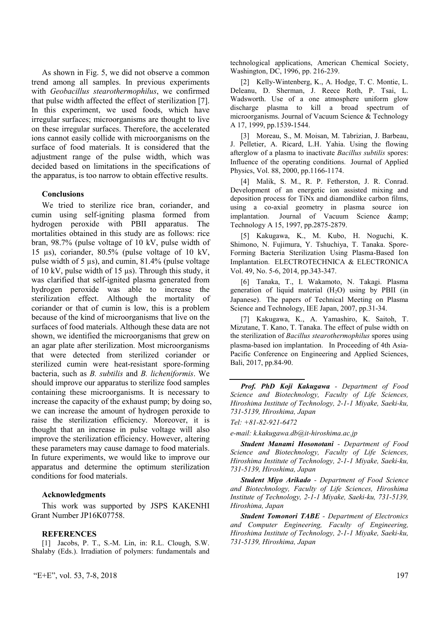As shown in Fig. 5, we did not observe a common trend among all samples. In previous experiments with *Geobacillus stearothermophilus*, we confirmed that pulse width affected the effect of sterilization [7]. In this experiment, we used foods, which have irregular surfaces; microorganisms are thought to live on these irregular surfaces. Therefore, the accelerated ions cannot easily collide with microorganisms on the surface of food materials. It is considered that the adjustment range of the pulse width, which was decided based on limitations in the specifications of the apparatus, is too narrow to obtain effective results.

# **Conclusions**

We tried to sterilize rice bran, coriander, and cumin using self-igniting plasma formed from hydrogen peroxide with PBII apparatus. The mortalities obtained in this study are as follows: rice bran, 98.7% (pulse voltage of 10 kV, pulse width of 15 µs), coriander, 80.5% (pulse voltage of 10 kV, pulse width of 5 µs), and cumin, 81.4% (pulse voltage of 10 kV, pulse width of 15 µs). Through this study, it was clarified that self-ignited plasma generated from hydrogen peroxide was able to increase the sterilization effect. Although the mortality of coriander or that of cumin is low, this is a problem because of the kind of microorganisms that live on the surfaces of food materials. Although these data are not shown, we identified the microorganisms that grew on an agar plate after sterilization. Most microorganisms that were detected from sterilized coriander or sterilized cumin were heat-resistant spore-forming bacteria, such as *B. subtilis* and *B. licheniformis*. We should improve our apparatus to sterilize food samples containing these microorganisms. It is necessary to increase the capacity of the exhaust pump; by doing so, we can increase the amount of hydrogen peroxide to raise the sterilization efficiency. Moreover, it is thought that an increase in pulse voltage will also improve the sterilization efficiency. However, altering these parameters may cause damage to food materials. In future experiments, we would like to improve our apparatus and determine the optimum sterilization conditions for food materials.

#### **Acknowledgments**

This work was supported by JSPS KAKENHI Grant Number JP16K07758.

#### **REFERENCES**

[1] Jacobs, P. T., S.-M. Lin, in: R.L. Clough, S.W. Shalaby (Eds.). Irradiation of polymers: fundamentals and technological applications, American Chemical Society, Washington, DC, 1996, pp. 216-239.

[2] Kelly-Wintenberg, K., A. Hodge, T. C. Montie, L. Deleanu, D. Sherman, J. Reece Roth, P. Tsai, L. Wadsworth. Use of a one atmosphere uniform glow discharge plasma to kill a broad spectrum of microorganisms. Journal of Vacuum Science & Technology A 17, 1999, pp.1539-1544.

[3] Moreau, S., M. Moisan, M. Tabrizian, J. Barbeau, J. Pelletier, A. Ricard, L.H. Yahia. Using the flowing afterglow of a plasma to inactivate *Bacillus subtilis* spores: Influence of the operating conditions. Journal of Applied Physics, Vol. 88, 2000, pp.1166-1174.

[4] Malik, S. M., R. P. Fetherston, J. R. Conrad. Development of an energetic ion assisted mixing and deposition process for TiNx and diamondlike carbon films, using a co-axial geometry in plasma source ion implantation. Journal of Vacuum Science & amp; Technology A 15, 1997, pp.2875-2879.

[5] Kakugawa, K., M. Kubo, H. Noguchi, K. Shimono, N. Fujimura, Y. Tshuchiya, T. Tanaka. Spore-Forming Bacteria Sterilization Using Plasma-Based Ion Implantation. ELECTROTECHNICA & ELECTRONICA Vol. 49, No. 5-6, 2014, pp.343-347.

[6] Tanaka, T., I. Wakamoto, N. Takagi. Plasma generation of liquid material  $(H<sub>2</sub>O)$  using by PBII (in Japanese). The papers of Technical Meeting on Plasma Science and Technology, IEE Japan, 2007, pp.31-34.

[7] Kakugawa, K., A. Yamashiro, K. Saitoh, T. Mizutane, T. Kano, T. Tanaka. The effect of pulse width on the sterilization of *Bacillus stearothermophilus* spores using plasma-based ion implantation. In Proceeding of 4th Asia-Pacific Conference on Engineering and Applied Sciences, Bali, 2017, pp.84-90.

*Prof. PhD Koji Kakugawa - Department of Food Science and Biotechnology, Faculty of Life Sciences, Hiroshima Institute of Technology, 2-1-1 Miyake, Saeki-ku, 731-5139, Hiroshima, Japan*

*Tel: +81-82-921-6472* 

*е-mail: k.kakugawa.db@it-hiroshima.ac.jp*

*Student Manami Hosonotani - Department of Food Science and Biotechnology, Faculty of Life Sciences, Hiroshima Institute of Technology, 2-1-1 Miyake, Saeki-ku, 731-5139, Hiroshima, Japan*

*Student Miyo Arikado - Department of Food Science and Biotechnology, Faculty of Life Sciences, Hiroshima Institute of Technology, 2-1-1 Miyake, Saeki-ku, 731-5139, Hiroshima, Japan*

*Student Tomonori TABE - Department of Electronics and Computer Engineering, Faculty of Engineering, Hiroshima Institute of Technology, 2-1-1 Miyake, Saeki-ku, 731-5139, Hiroshima, Japan*